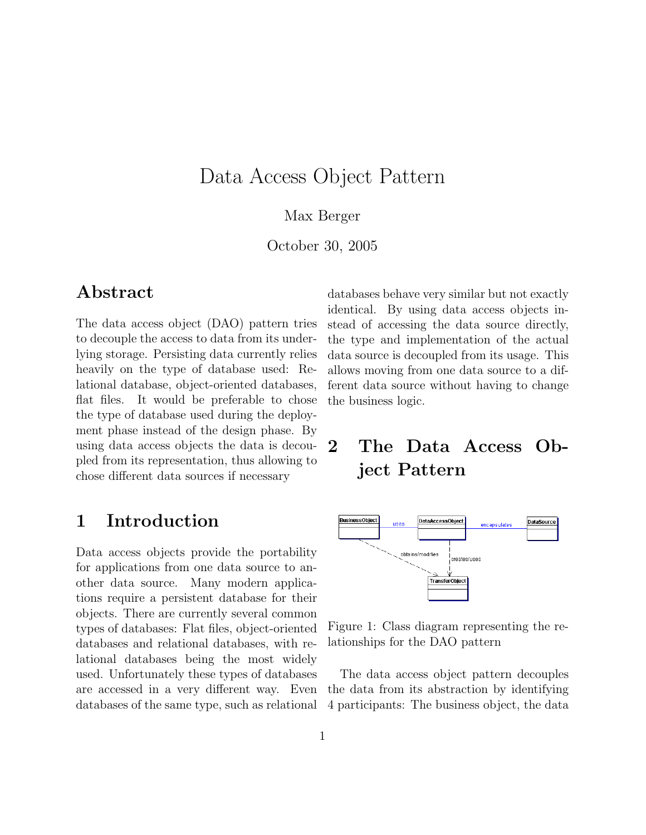## Data Access Object Pattern

#### Max Berger

October 30, 2005

### Abstract

The data access object (DAO) pattern tries to decouple the access to data from its underlying storage. Persisting data currently relies heavily on the type of database used: Relational database, object-oriented databases, flat files. It would be preferable to chose the type of database used during the deployment phase instead of the design phase. By using data access objects the data is decoupled from its representation, thus allowing to chose different data sources if necessary

## 1 Introduction

Data access objects provide the portability for applications from one data source to another data source. Many modern applications require a persistent database for their objects. There are currently several common types of databases: Flat files, object-oriented databases and relational databases, with relational databases being the most widely used. Unfortunately these types of databases are accessed in a very different way. Even databases of the same type, such as relational

databases behave very similar but not exactly identical. By using data access objects instead of accessing the data source directly, the type and implementation of the actual data source is decoupled from its usage. This allows moving from one data source to a different data source without having to change the business logic.

## 2 The Data Access Object Pattern



Figure 1: Class diagram representing the relationships for the DAO pattern

The data access object pattern decouples the data from its abstraction by identifying 4 participants: The business object, the data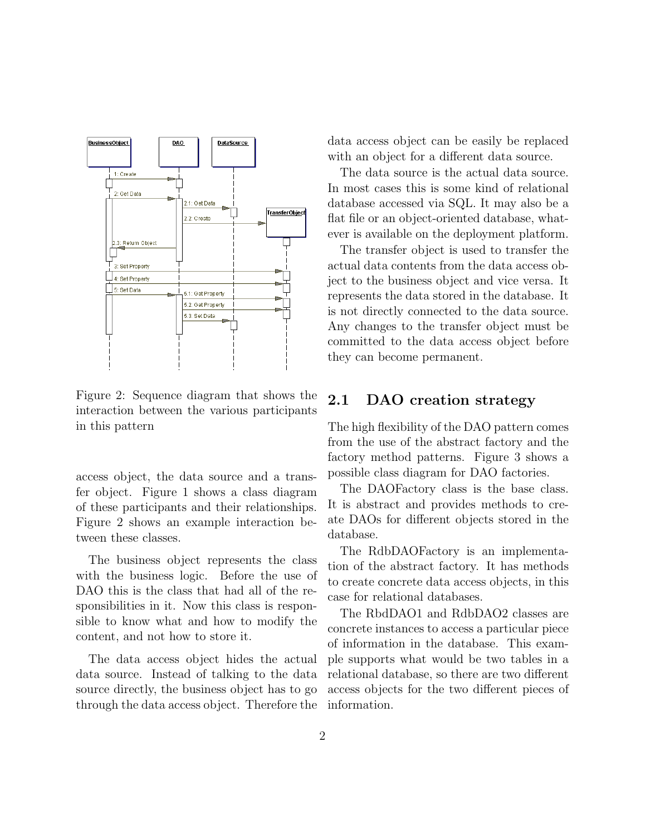

Figure 2: Sequence diagram that shows the interaction between the various participants in this pattern

access object, the data source and a transfer object. Figure 1 shows a class diagram of these participants and their relationships. Figure 2 shows an example interaction between these classes.

The business object represents the class with the business logic. Before the use of DAO this is the class that had all of the responsibilities in it. Now this class is responsible to know what and how to modify the content, and not how to store it.

The data access object hides the actual data source. Instead of talking to the data source directly, the business object has to go through the data access object. Therefore the data access object can be easily be replaced with an object for a different data source.

The data source is the actual data source. In most cases this is some kind of relational database accessed via SQL. It may also be a flat file or an object-oriented database, whatever is available on the deployment platform.

The transfer object is used to transfer the actual data contents from the data access object to the business object and vice versa. It represents the data stored in the database. It is not directly connected to the data source. Any changes to the transfer object must be committed to the data access object before they can become permanent.

#### 2.1 DAO creation strategy

The high flexibility of the DAO pattern comes from the use of the abstract factory and the factory method patterns. Figure 3 shows a possible class diagram for DAO factories.

The DAOFactory class is the base class. It is abstract and provides methods to create DAOs for different objects stored in the database.

The RdbDAOFactory is an implementation of the abstract factory. It has methods to create concrete data access objects, in this case for relational databases.

The RbdDAO1 and RdbDAO2 classes are concrete instances to access a particular piece of information in the database. This example supports what would be two tables in a relational database, so there are two different access objects for the two different pieces of information.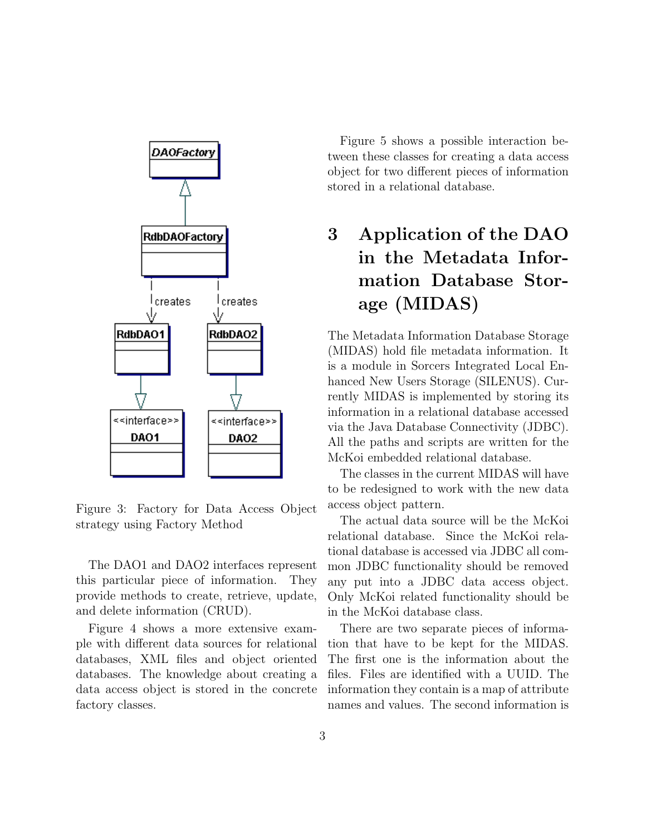

Figure 3: Factory for Data Access Object strategy using Factory Method

The DAO1 and DAO2 interfaces represent this particular piece of information. They provide methods to create, retrieve, update, and delete information (CRUD).

Figure 4 shows a more extensive example with different data sources for relational databases, XML files and object oriented databases. The knowledge about creating a data access object is stored in the concrete factory classes.

Figure 5 shows a possible interaction between these classes for creating a data access object for two different pieces of information stored in a relational database.

# 3 Application of the DAO in the Metadata Information Database Storage (MIDAS)

The Metadata Information Database Storage (MIDAS) hold file metadata information. It is a module in Sorcers Integrated Local Enhanced New Users Storage (SILENUS). Currently MIDAS is implemented by storing its information in a relational database accessed via the Java Database Connectivity (JDBC). All the paths and scripts are written for the McKoi embedded relational database.

The classes in the current MIDAS will have to be redesigned to work with the new data access object pattern.

The actual data source will be the McKoi relational database. Since the McKoi relational database is accessed via JDBC all common JDBC functionality should be removed any put into a JDBC data access object. Only McKoi related functionality should be in the McKoi database class.

There are two separate pieces of information that have to be kept for the MIDAS. The first one is the information about the files. Files are identified with a UUID. The information they contain is a map of attribute names and values. The second information is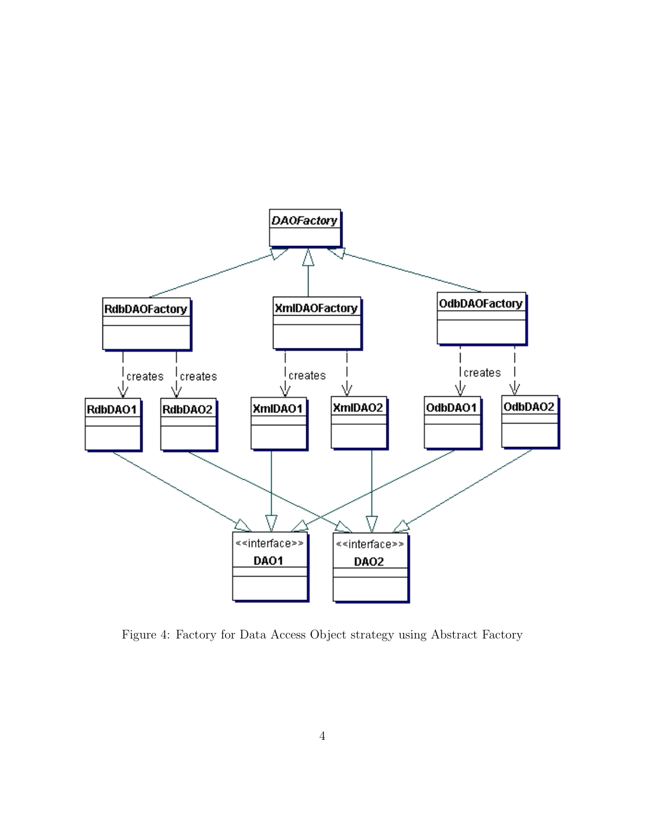

Figure 4: Factory for Data Access Object strategy using Abstract Factory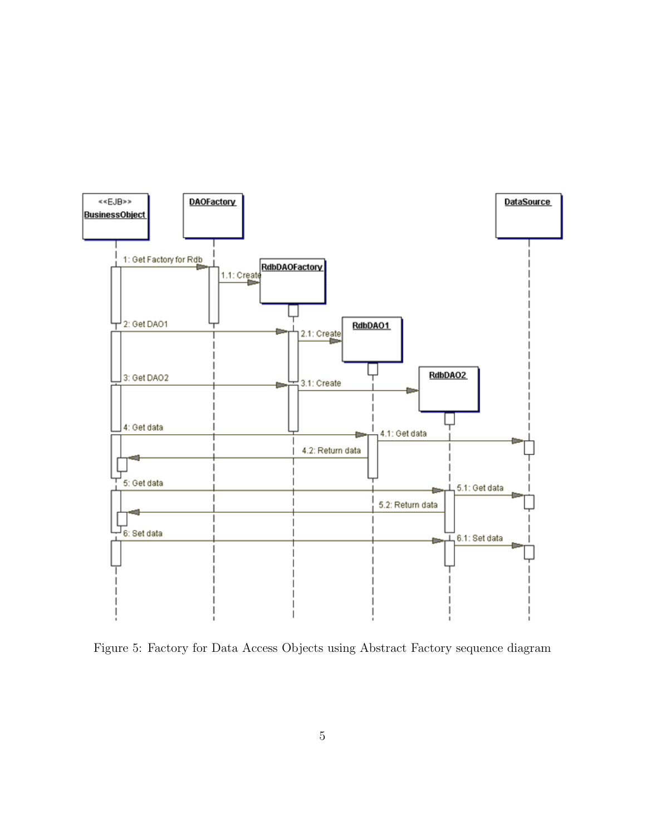

Figure 5: Factory for Data Access Objects using Abstract Factory sequence diagram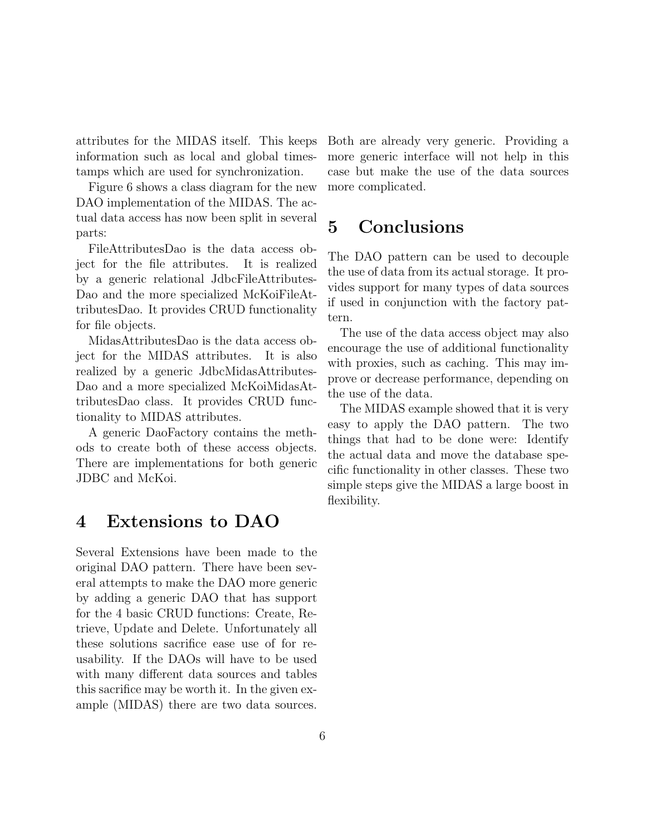attributes for the MIDAS itself. This keeps information such as local and global timestamps which are used for synchronization.

Figure 6 shows a class diagram for the new DAO implementation of the MIDAS. The actual data access has now been split in several parts:

FileAttributesDao is the data access object for the file attributes. It is realized by a generic relational JdbcFileAttributes-Dao and the more specialized McKoiFileAttributesDao. It provides CRUD functionality for file objects.

MidasAttributesDao is the data access object for the MIDAS attributes. It is also realized by a generic JdbcMidasAttributes-Dao and a more specialized McKoiMidasAttributesDao class. It provides CRUD functionality to MIDAS attributes.

A generic DaoFactory contains the methods to create both of these access objects. There are implementations for both generic JDBC and McKoi.

## 4 Extensions to DAO

Several Extensions have been made to the original DAO pattern. There have been several attempts to make the DAO more generic by adding a generic DAO that has support for the 4 basic CRUD functions: Create, Retrieve, Update and Delete. Unfortunately all these solutions sacrifice ease use of for reusability. If the DAOs will have to be used with many different data sources and tables this sacrifice may be worth it. In the given example (MIDAS) there are two data sources.

Both are already very generic. Providing a more generic interface will not help in this case but make the use of the data sources more complicated.

## 5 Conclusions

The DAO pattern can be used to decouple the use of data from its actual storage. It provides support for many types of data sources if used in conjunction with the factory pattern.

The use of the data access object may also encourage the use of additional functionality with proxies, such as caching. This may improve or decrease performance, depending on the use of the data.

The MIDAS example showed that it is very easy to apply the DAO pattern. The two things that had to be done were: Identify the actual data and move the database specific functionality in other classes. These two simple steps give the MIDAS a large boost in flexibility.